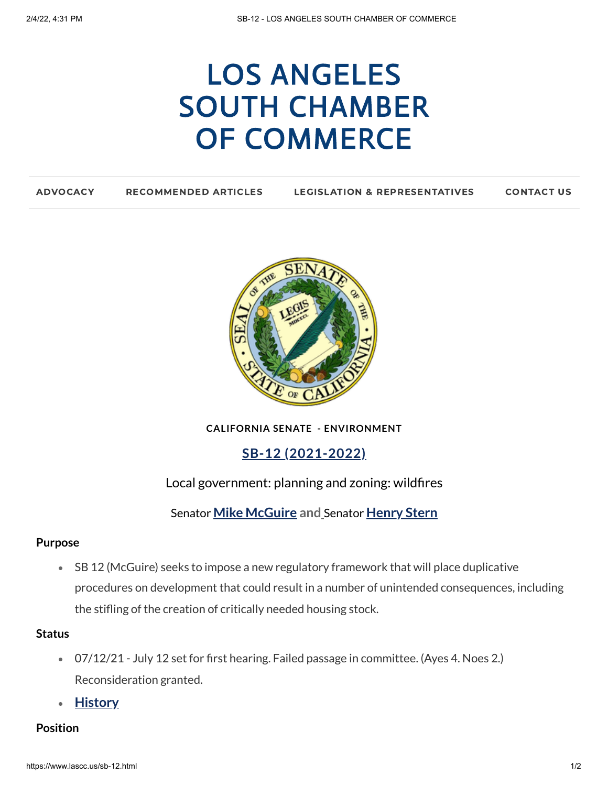# LOS ANGELES SOUTH CHAMBER OF [COMMERCE](https://www.lascc.us/)

| <b>ADVOCACY</b> | <b>RECOMMENDED ARTICLES</b> | <b>LEGISLATION &amp; REPRESENTATIVES</b> | <b>CONTACT US</b> |
|-----------------|-----------------------------|------------------------------------------|-------------------|
|                 |                             |                                          |                   |



**CALIFORNIA SENATE - ENVIRONMENT**

**SB-12 (2021-2022)**

Local government: planning and zoning: wildfires

Senator **Mike [McGuire](https://sd02.senate.ca.gov/) and** Senator **[Henry](https://sd27.senate.ca.gov/) Stern**

## **Purpose**

SB 12 (McGuire) seeks to impose a new regulatory framework that will place duplicative procedures on development that could result in a number of unintended consequences, including the stifling of the creation of critically needed housing stock.

#### **Status**

- 07/12/21 July 12 set for first hearing. Failed passage in committee. (Ayes 4. Noes 2.) Reconsideration granted.
- **[History](https://leginfo.legislature.ca.gov/faces/billHistoryClient.xhtml?bill_id=202120220SB12)**

## **Position**